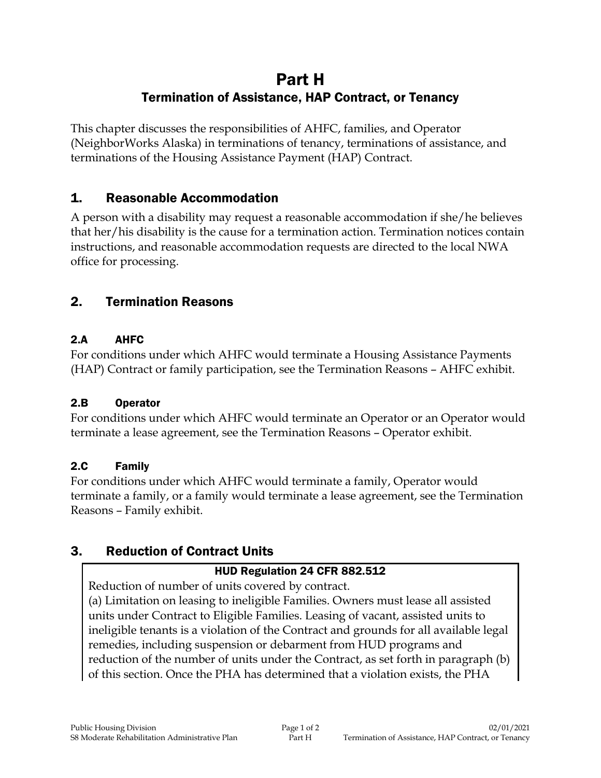# Part H Termination of Assistance, HAP Contract, or Tenancy

This chapter discusses the responsibilities of AHFC, families, and Operator (NeighborWorks Alaska) in terminations of tenancy, terminations of assistance, and terminations of the Housing Assistance Payment (HAP) Contract.

# 1. Reasonable Accommodation

A person with a disability may request a reasonable accommodation if she/he believes that her/his disability is the cause for a termination action. Termination notices contain instructions, and reasonable accommodation requests are directed to the local NWA office for processing.

# 2. Termination Reasons

#### 2.A AHFC

For conditions under which AHFC would terminate a Housing Assistance Payments (HAP) Contract or family participation, see the Termination Reasons – AHFC exhibit.

#### 2.B Operator

For conditions under which AHFC would terminate an Operator or an Operator would terminate a lease agreement, see the Termination Reasons – Operator exhibit.

#### 2.C Family

For conditions under which AHFC would terminate a family, Operator would terminate a family, or a family would terminate a lease agreement, see the Termination Reasons – Family exhibit.

# 3. Reduction of Contract Units

### HUD Regulation 24 CFR 882.512

Reduction of number of units covered by contract.

(a) Limitation on leasing to ineligible Families. Owners must lease all assisted units under Contract to Eligible Families. Leasing of vacant, assisted units to ineligible tenants is a violation of the Contract and grounds for all available legal remedies, including suspension or debarment from HUD programs and reduction of the number of units under the Contract, as set forth in paragraph (b) of this section. Once the PHA has determined that a violation exists, the PHA